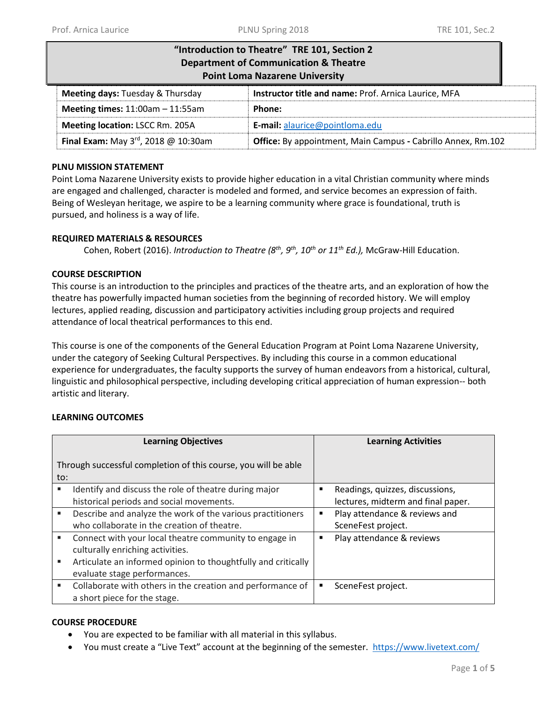| "Introduction to Theatre" TRE 101, Section 2<br><b>Department of Communication &amp; Theatre</b><br><b>Point Loma Nazarene University</b> |                                                      |  |  |  |
|-------------------------------------------------------------------------------------------------------------------------------------------|------------------------------------------------------|--|--|--|
| <b>Meeting days: Tuesday &amp; Thursday</b>                                                                                               | Instructor title and name: Prof. Arnica Laurice, MFA |  |  |  |
| Meeting times: $11:00am - 11:55am$                                                                                                        | Phone:                                               |  |  |  |
| Meeting location: LSCC Rm. 205A                                                                                                           | E-mail: alaurice@pointloma.edu                       |  |  |  |
| Final Exam: May $3^{rd}$ , 2018 @ 10:30am<br><b>Office:</b> By appointment, Main Campus - Cabrillo Annex, Rm.102                          |                                                      |  |  |  |

#### **PLNU MISSION STATEMENT**

Point Loma Nazarene University exists to provide higher education in a vital Christian community where minds are engaged and challenged, character is modeled and formed, and service becomes an expression of faith. Being of Wesleyan heritage, we aspire to be a learning community where grace is foundational, truth is pursued, and holiness is a way of life.

## **REQUIRED MATERIALS & RESOURCES**

Cohen, Robert (2016). *Introduction to Theatre (8 th, 9th, 10th or 11 th Ed.),* McGraw-Hill Education.

#### **COURSE DESCRIPTION**

This course is an introduction to the principles and practices of the theatre arts, and an exploration of how the theatre has powerfully impacted human societies from the beginning of recorded history. We will employ lectures, applied reading, discussion and participatory activities including group projects and required attendance of local theatrical performances to this end.

This course is one of the components of the General Education Program at Point Loma Nazarene University, under the category of Seeking Cultural Perspectives. By including this course in a common educational experience for undergraduates, the faculty supports the survey of human endeavors from a historical, cultural, linguistic and philosophical perspective, including developing critical appreciation of human expression-- both artistic and literary.

## **LEARNING OUTCOMES**

| <b>Learning Objectives</b>                                            |                                                               | <b>Learning Activities</b> |                                    |  |
|-----------------------------------------------------------------------|---------------------------------------------------------------|----------------------------|------------------------------------|--|
| Through successful completion of this course, you will be able<br>to: |                                                               |                            |                                    |  |
| п                                                                     | Identify and discuss the role of theatre during major         | ٠                          | Readings, quizzes, discussions,    |  |
|                                                                       | historical periods and social movements.                      |                            | lectures, midterm and final paper. |  |
| ٠                                                                     | Describe and analyze the work of the various practitioners    | ٠                          | Play attendance & reviews and      |  |
|                                                                       | who collaborate in the creation of theatre.                   |                            | SceneFest project.                 |  |
| ٠                                                                     | Connect with your local theatre community to engage in        | ٠                          | Play attendance & reviews          |  |
|                                                                       | culturally enriching activities.                              |                            |                                    |  |
| п                                                                     | Articulate an informed opinion to thoughtfully and critically |                            |                                    |  |
|                                                                       | evaluate stage performances.                                  |                            |                                    |  |
| ٠                                                                     | Collaborate with others in the creation and performance of    | ٠                          | SceneFest project.                 |  |
|                                                                       | a short piece for the stage.                                  |                            |                                    |  |

## **COURSE PROCEDURE**

- You are expected to be familiar with all material in this syllabus.
- You must create a "Live Text" account at the beginning of the semester. <https://www.livetext.com/>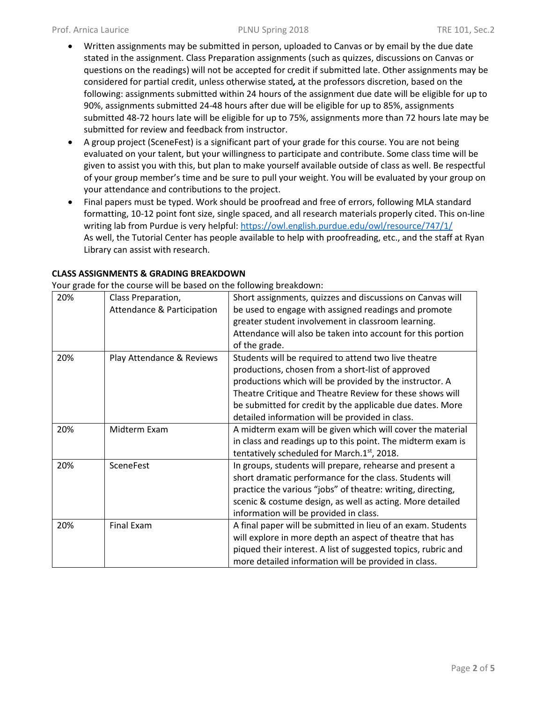- Written assignments may be submitted in person, uploaded to Canvas or by email by the due date stated in the assignment. Class Preparation assignments (such as quizzes, discussions on Canvas or questions on the readings) will not be accepted for credit if submitted late. Other assignments may be considered for partial credit, unless otherwise stated*,* at the professors discretion, based on the following: assignments submitted within 24 hours of the assignment due date will be eligible for up to 90%, assignments submitted 24-48 hours after due will be eligible for up to 85%, assignments submitted 48-72 hours late will be eligible for up to 75%, assignments more than 72 hours late may be submitted for review and feedback from instructor.
- A group project (SceneFest) is a significant part of your grade for this course. You are not being evaluated on your talent, but your willingness to participate and contribute. Some class time will be given to assist you with this, but plan to make yourself available outside of class as well. Be respectful of your group member's time and be sure to pull your weight. You will be evaluated by your group on your attendance and contributions to the project.
- Final papers must be typed. Work should be proofread and free of errors, following MLA standard formatting, 10-12 point font size, single spaced, and all research materials properly cited. This on-line writing lab from Purdue is very helpful: <https://owl.english.purdue.edu/owl/resource/747/1/> As well, the Tutorial Center has people available to help with proofreading, etc., and the staff at Ryan Library can assist with research.

Your grade for the course will be based on the following breakdown:

| 20% | Class Preparation,         | Short assignments, quizzes and discussions on Canvas will     |
|-----|----------------------------|---------------------------------------------------------------|
|     | Attendance & Participation | be used to engage with assigned readings and promote          |
|     |                            | greater student involvement in classroom learning.            |
|     |                            | Attendance will also be taken into account for this portion   |
|     |                            | of the grade.                                                 |
| 20% | Play Attendance & Reviews  | Students will be required to attend two live theatre          |
|     |                            | productions, chosen from a short-list of approved             |
|     |                            | productions which will be provided by the instructor. A       |
|     |                            | Theatre Critique and Theatre Review for these shows will      |
|     |                            | be submitted for credit by the applicable due dates. More     |
|     |                            | detailed information will be provided in class.               |
| 20% | Midterm Exam               | A midterm exam will be given which will cover the material    |
|     |                            | in class and readings up to this point. The midterm exam is   |
|     |                            | tentatively scheduled for March.1st, 2018.                    |
| 20% | SceneFest                  | In groups, students will prepare, rehearse and present a      |
|     |                            | short dramatic performance for the class. Students will       |
|     |                            | practice the various "jobs" of theatre: writing, directing,   |
|     |                            | scenic & costume design, as well as acting. More detailed     |
|     |                            | information will be provided in class.                        |
| 20% | <b>Final Exam</b>          | A final paper will be submitted in lieu of an exam. Students  |
|     |                            | will explore in more depth an aspect of theatre that has      |
|     |                            | piqued their interest. A list of suggested topics, rubric and |
|     |                            | more detailed information will be provided in class.          |
|     |                            |                                                               |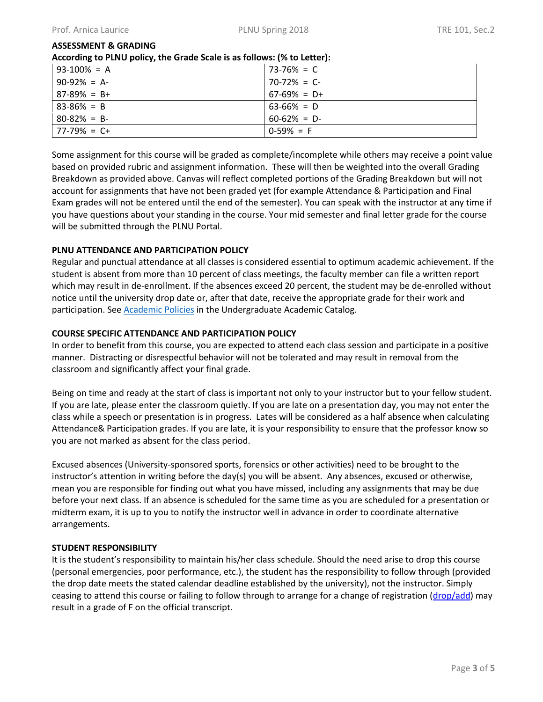## **ASSESSMENT & GRADING**

**According to PLNU policy, the Grade Scale is as follows: (% to Letter):** 

| $93-100\% = A$  | $73-76\% = C$   |
|-----------------|-----------------|
| $90-92\% = A$   | $70-72\% = C$   |
| $87-89\% = B+$  | $67-69\% = D+$  |
| $83 - 86\% = B$ | $63-66\% = D$   |
| $80 - 82\% = B$ | $60 - 62\% = D$ |
| $ 77-79\% = C+$ | $0-59\% = F$    |

Some assignment for this course will be graded as complete/incomplete while others may receive a point value based on provided rubric and assignment information. These will then be weighted into the overall Grading Breakdown as provided above. Canvas will reflect completed portions of the Grading Breakdown but will not account for assignments that have not been graded yet (for example Attendance & Participation and Final Exam grades will not be entered until the end of the semester). You can speak with the instructor at any time if you have questions about your standing in the course. Your mid semester and final letter grade for the course will be submitted through the PLNU Portal.

## **PLNU ATTENDANCE AND PARTICIPATION POLICY**

Regular and punctual attendance at all classes is considered essential to optimum academic achievement. If the student is absent from more than 10 percent of class meetings, the faculty member can file a written report which may result in de-enrollment. If the absences exceed 20 percent, the student may be de-enrolled without notice until the university drop date or, after that date, receive the appropriate grade for their work and participation. See **Academic Policies** in the Undergraduate Academic Catalog.

## **COURSE SPECIFIC ATTENDANCE AND PARTICIPATION POLICY**

In order to benefit from this course, you are expected to attend each class session and participate in a positive manner. Distracting or disrespectful behavior will not be tolerated and may result in removal from the classroom and significantly affect your final grade.

Being on time and ready at the start of class is important not only to your instructor but to your fellow student. If you are late, please enter the classroom quietly. If you are late on a presentation day, you may not enter the class while a speech or presentation is in progress. Lates will be considered as a half absence when calculating Attendance& Participation grades. If you are late, it is your responsibility to ensure that the professor know so you are not marked as absent for the class period.

Excused absences (University-sponsored sports, forensics or other activities) need to be brought to the instructor's attention in writing before the day(s) you will be absent. Any absences, excused or otherwise, mean you are responsible for finding out what you have missed, including any assignments that may be due before your next class. If an absence is scheduled for the same time as you are scheduled for a presentation or midterm exam, it is up to you to notify the instructor well in advance in order to coordinate alternative arrangements.

## **STUDENT RESPONSIBILITY**

It is the student's responsibility to maintain his/her class schedule. Should the need arise to drop this course (personal emergencies, poor performance, etc.), the student has the responsibility to follow through (provided the drop date meets the stated calendar deadline established by the university), not the instructor. Simply ceasing to attend this course or failing to follow through to arrange for a change of registration [\(drop/add\)](http://www.pointloma.edu/sites/default/files/filemanager/Records_Office/Change_of_Schedule_Form.pdf) may result in a grade of F on the official transcript.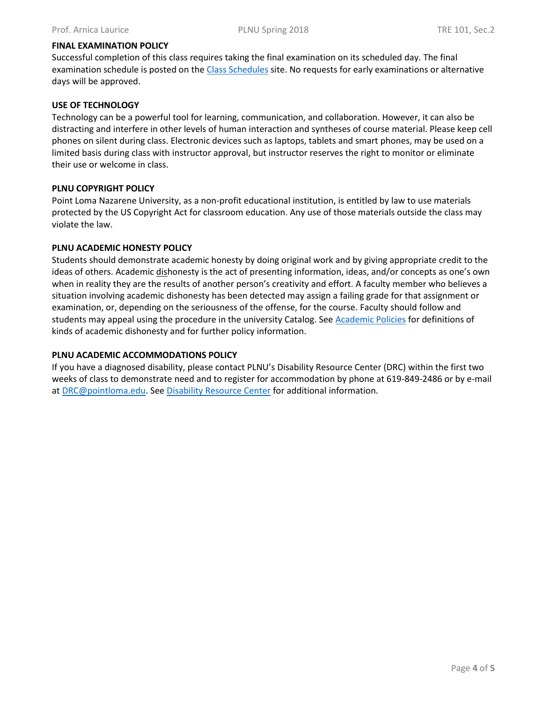#### **FINAL EXAMINATION POLICY**

Successful completion of this class requires taking the final examination on its scheduled day. The final examination schedule is posted on the [Class Schedules](http://www.pointloma.edu/experience/academics/class-schedules) site. No requests for early examinations or alternative days will be approved.

#### **USE OF TECHNOLOGY**

Technology can be a powerful tool for learning, communication, and collaboration. However, it can also be distracting and interfere in other levels of human interaction and syntheses of course material. Please keep cell phones on silent during class. Electronic devices such as laptops, tablets and smart phones, may be used on a limited basis during class with instructor approval, but instructor reserves the right to monitor or eliminate their use or welcome in class.

#### **PLNU COPYRIGHT POLICY**

Point Loma Nazarene University, as a non-profit educational institution, is entitled by law to use materials protected by the US Copyright Act for classroom education. Any use of those materials outside the class may violate the law.

#### **PLNU ACADEMIC HONESTY POLICY**

Students should demonstrate academic honesty by doing original work and by giving appropriate credit to the ideas of others. Academic dishonesty is the act of presenting information, ideas, and/or concepts as one's own when in reality they are the results of another person's creativity and effort. A faculty member who believes a situation involving academic dishonesty has been detected may assign a failing grade for that assignment or examination, or, depending on the seriousness of the offense, for the course. Faculty should follow and students may appeal using the procedure in the university Catalog. See [Academic Policies](http://catalog.pointloma.edu/content.php?catoid=18&navoid=1278) for definitions of kinds of academic dishonesty and for further policy information.

#### **PLNU ACADEMIC ACCOMMODATIONS POLICY**

If you have a diagnosed disability, please contact PLNU's Disability Resource Center (DRC) within the first two weeks of class to demonstrate need and to register for accommodation by phone at 619-849-2486 or by e-mail at [DRC@pointloma.edu.](mailto:DRC@pointloma.edu) See [Disability Resource Center](http://www.pointloma.edu/experience/offices/administrative-offices/academic-advising-office/disability-resource-center) for additional information.